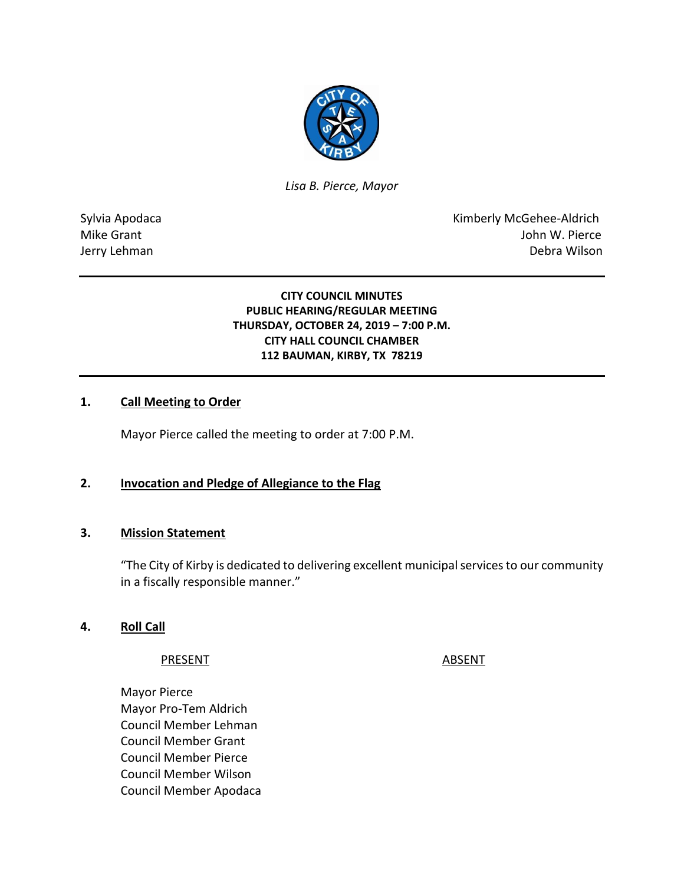

*Lisa B. Pierce, Mayor* 

Sylvia Apodaca **Kimberly McGehee-Aldrich** Mike Grant **Mike Grant** And The Contract of the United States of the United States of the United States of the United States of the United States of the United States of the United States of the United States of the United Jerry Lehman Debra Wilson

### **CITY COUNCIL MINUTES PUBLIC HEARING/REGULAR MEETING THURSDAY, OCTOBER 24, 2019 – 7:00 P.M. CITY HALL COUNCIL CHAMBER 112 BAUMAN, KIRBY, TX 78219**

### **1. Call Meeting to Order**

Mayor Pierce called the meeting to order at 7:00 P.M.

### **2. Invocation and Pledge of Allegiance to the Flag**

#### **3. Mission Statement**

"The City of Kirby is dedicated to delivering excellent municipal services to our community in a fiscally responsible manner."

### **4. Roll Call**

#### PRESENT ABSENT

Mayor Pierce Mayor Pro-Tem Aldrich Council Member Lehman Council Member Grant Council Member Pierce Council Member Wilson Council Member Apodaca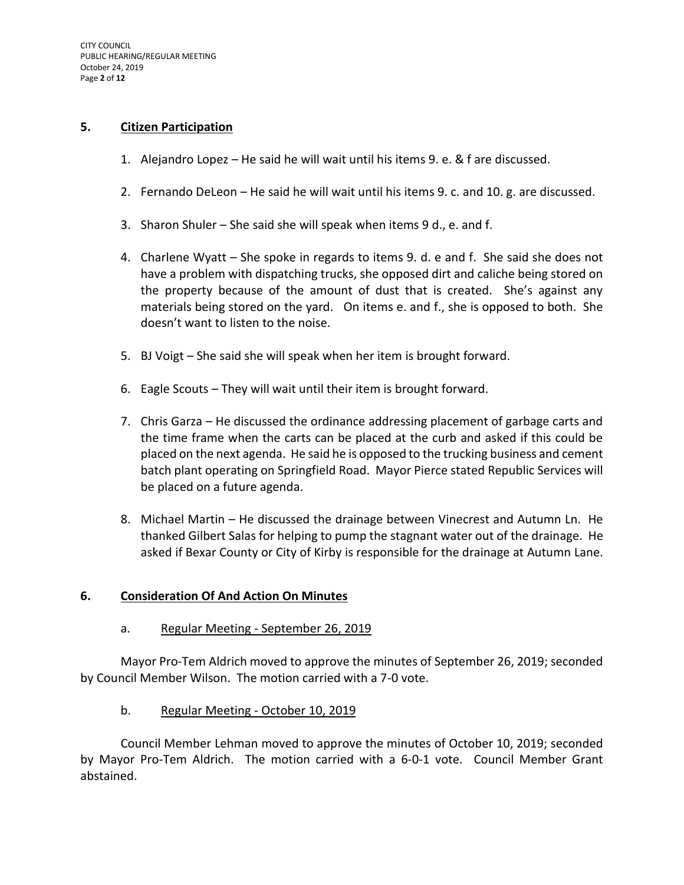#### **5. Citizen Participation**

- 1. Alejandro Lopez He said he will wait until his items 9. e. & f are discussed.
- 2. Fernando DeLeon He said he will wait until his items 9. c. and 10. g. are discussed.
- 3. Sharon Shuler She said she will speak when items 9 d., e. and f.
- 4. Charlene Wyatt She spoke in regards to items 9. d. e and f. She said she does not have a problem with dispatching trucks, she opposed dirt and caliche being stored on the property because of the amount of dust that is created. She's against any materials being stored on the yard. On items e. and f., she is opposed to both. She doesn't want to listen to the noise.
- 5. BJ Voigt She said she will speak when her item is brought forward.
- 6. Eagle Scouts They will wait until their item is brought forward.
- 7. Chris Garza He discussed the ordinance addressing placement of garbage carts and the time frame when the carts can be placed at the curb and asked if this could be placed on the next agenda. He said he is opposed to the trucking business and cement batch plant operating on Springfield Road. Mayor Pierce stated Republic Services will be placed on a future agenda.
- 8. Michael Martin He discussed the drainage between Vinecrest and Autumn Ln. He thanked Gilbert Salas for helping to pump the stagnant water out of the drainage. He asked if Bexar County or City of Kirby is responsible for the drainage at Autumn Lane.

#### **6. Consideration Of And Action On Minutes**

a. Regular Meeting - September 26, 2019

Mayor Pro-Tem Aldrich moved to approve the minutes of September 26, 2019; seconded by Council Member Wilson. The motion carried with a 7-0 vote.

b. Regular Meeting - October 10, 2019

Council Member Lehman moved to approve the minutes of October 10, 2019; seconded by Mayor Pro-Tem Aldrich. The motion carried with a 6-0-1 vote. Council Member Grant abstained.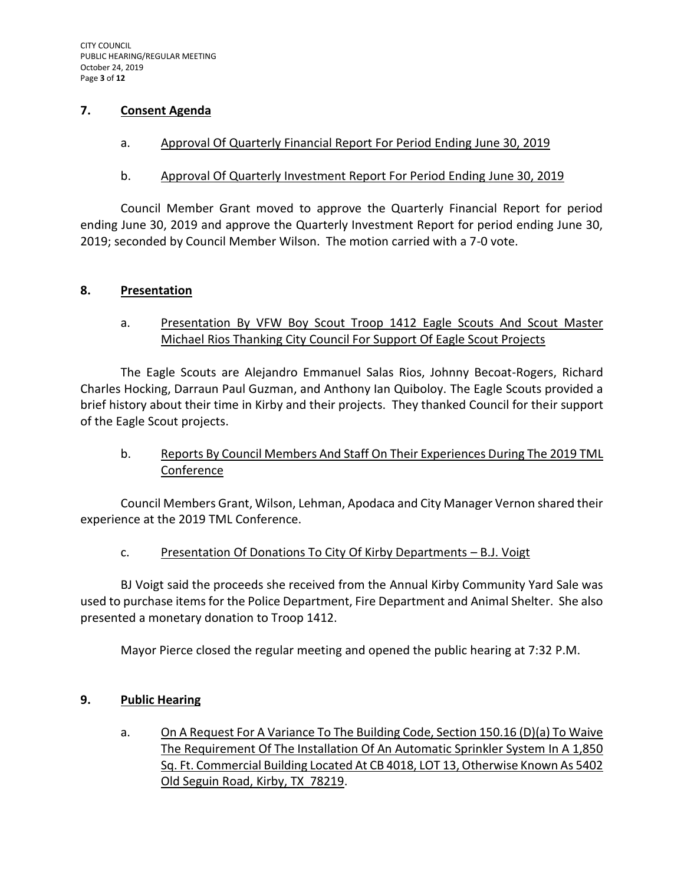### **7. Consent Agenda**

a. Approval Of Quarterly Financial Report For Period Ending June 30, 2019

### b. Approval Of Quarterly Investment Report For Period Ending June 30, 2019

Council Member Grant moved to approve the Quarterly Financial Report for period ending June 30, 2019 and approve the Quarterly Investment Report for period ending June 30, 2019; seconded by Council Member Wilson. The motion carried with a 7-0 vote.

#### **8. Presentation**

### a. Presentation By VFW Boy Scout Troop 1412 Eagle Scouts And Scout Master Michael Rios Thanking City Council For Support Of Eagle Scout Projects

The Eagle Scouts are Alejandro Emmanuel Salas Rios, Johnny Becoat-Rogers, Richard Charles Hocking, Darraun Paul Guzman, and Anthony Ian Quiboloy. The Eagle Scouts provided a brief history about their time in Kirby and their projects. They thanked Council for their support of the Eagle Scout projects.

# b. Reports By Council Members And Staff On Their Experiences During The 2019 TML Conference

Council Members Grant, Wilson, Lehman, Apodaca and City Manager Vernon shared their experience at the 2019 TML Conference.

## c. Presentation Of Donations To City Of Kirby Departments – B.J. Voigt

BJ Voigt said the proceeds she received from the Annual Kirby Community Yard Sale was used to purchase items for the Police Department, Fire Department and Animal Shelter. She also presented a monetary donation to Troop 1412.

Mayor Pierce closed the regular meeting and opened the public hearing at 7:32 P.M.

## **9. Public Hearing**

a. On A Request For A Variance To The Building Code, Section 150.16 (D)(a) To Waive The Requirement Of The Installation Of An Automatic Sprinkler System In A 1,850 Sq. Ft. Commercial Building Located At CB 4018, LOT 13, Otherwise Known As 5402 Old Seguin Road, Kirby, TX 78219.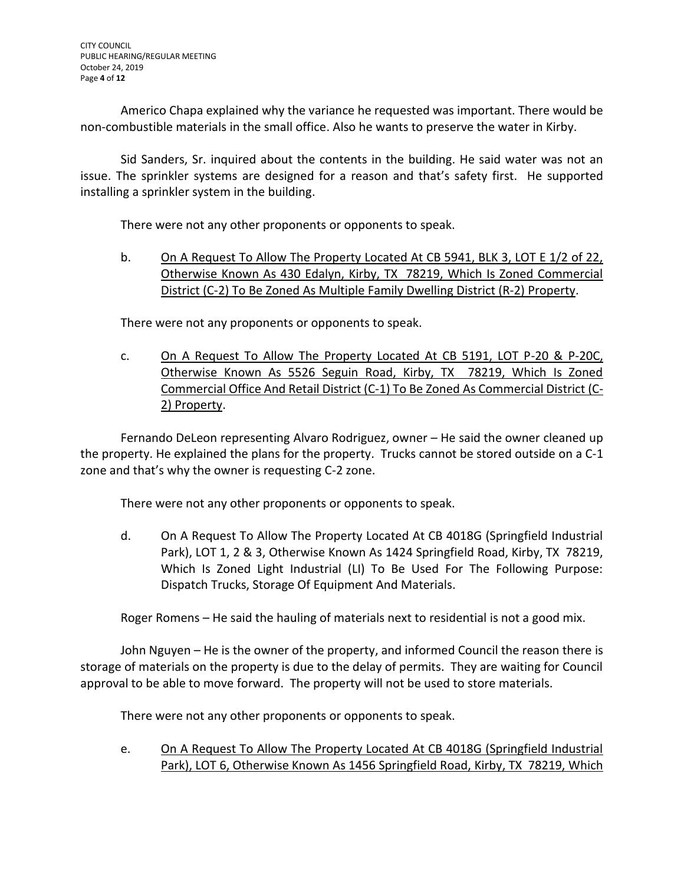Americo Chapa explained why the variance he requested was important. There would be non-combustible materials in the small office. Also he wants to preserve the water in Kirby.

Sid Sanders, Sr. inquired about the contents in the building. He said water was not an issue. The sprinkler systems are designed for a reason and that's safety first. He supported installing a sprinkler system in the building.

There were not any other proponents or opponents to speak.

b. On A Request To Allow The Property Located At CB 5941, BLK 3, LOT E 1/2 of 22, Otherwise Known As 430 Edalyn, Kirby, TX 78219, Which Is Zoned Commercial District (C-2) To Be Zoned As Multiple Family Dwelling District (R-2) Property.

There were not any proponents or opponents to speak.

c. On A Request To Allow The Property Located At CB 5191, LOT P-20 & P-20C, Otherwise Known As 5526 Seguin Road, Kirby, TX 78219, Which Is Zoned Commercial Office And Retail District (C-1) To Be Zoned As Commercial District (C-2) Property.

Fernando DeLeon representing Alvaro Rodriguez, owner – He said the owner cleaned up the property. He explained the plans for the property. Trucks cannot be stored outside on a C-1 zone and that's why the owner is requesting C-2 zone.

There were not any other proponents or opponents to speak.

d. On A Request To Allow The Property Located At CB 4018G (Springfield Industrial Park), LOT 1, 2 & 3, Otherwise Known As 1424 Springfield Road, Kirby, TX 78219, Which Is Zoned Light Industrial (LI) To Be Used For The Following Purpose: Dispatch Trucks, Storage Of Equipment And Materials.

Roger Romens – He said the hauling of materials next to residential is not a good mix.

John Nguyen – He is the owner of the property, and informed Council the reason there is storage of materials on the property is due to the delay of permits. They are waiting for Council approval to be able to move forward. The property will not be used to store materials.

There were not any other proponents or opponents to speak.

e. On A Request To Allow The Property Located At CB 4018G (Springfield Industrial Park), LOT 6, Otherwise Known As 1456 Springfield Road, Kirby, TX 78219, Which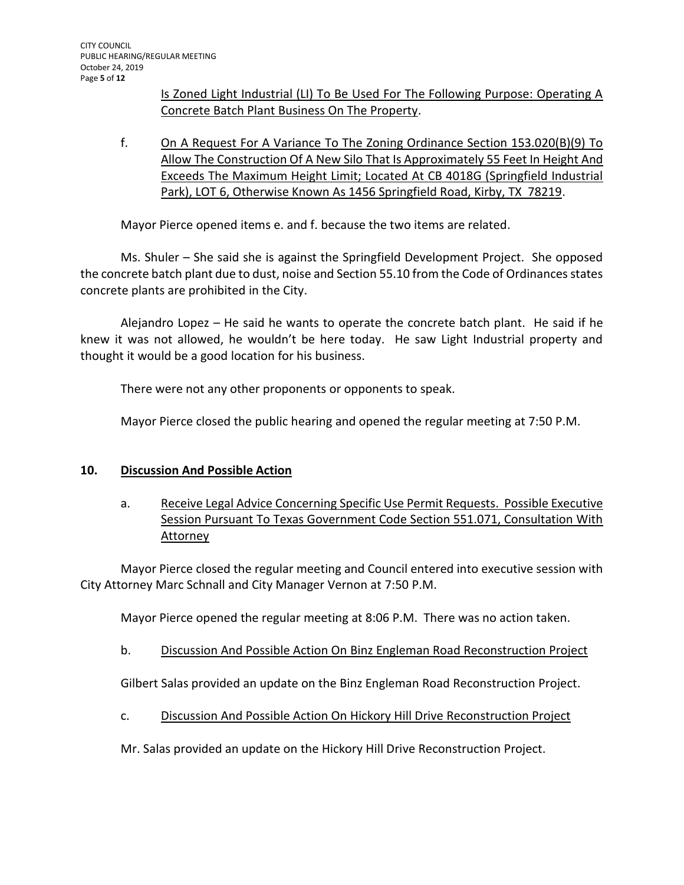Is Zoned Light Industrial (LI) To Be Used For The Following Purpose: Operating A Concrete Batch Plant Business On The Property.

f. On A Request For A Variance To The Zoning Ordinance Section 153.020(B)(9) To Allow The Construction Of A New Silo That Is Approximately 55 Feet In Height And Exceeds The Maximum Height Limit; Located At CB 4018G (Springfield Industrial Park), LOT 6, Otherwise Known As 1456 Springfield Road, Kirby, TX 78219.

Mayor Pierce opened items e. and f. because the two items are related.

Ms. Shuler – She said she is against the Springfield Development Project. She opposed the concrete batch plant due to dust, noise and Section 55.10 from the Code of Ordinances states concrete plants are prohibited in the City.

Alejandro Lopez – He said he wants to operate the concrete batch plant. He said if he knew it was not allowed, he wouldn't be here today. He saw Light Industrial property and thought it would be a good location for his business.

There were not any other proponents or opponents to speak.

Mayor Pierce closed the public hearing and opened the regular meeting at 7:50 P.M.

#### **10. Discussion And Possible Action**

a. Receive Legal Advice Concerning Specific Use Permit Requests. Possible Executive Session Pursuant To Texas Government Code Section 551.071, Consultation With Attorney

Mayor Pierce closed the regular meeting and Council entered into executive session with City Attorney Marc Schnall and City Manager Vernon at 7:50 P.M.

Mayor Pierce opened the regular meeting at 8:06 P.M. There was no action taken.

#### b. Discussion And Possible Action On Binz Engleman Road Reconstruction Project

Gilbert Salas provided an update on the Binz Engleman Road Reconstruction Project.

c. Discussion And Possible Action On Hickory Hill Drive Reconstruction Project

Mr. Salas provided an update on the Hickory Hill Drive Reconstruction Project.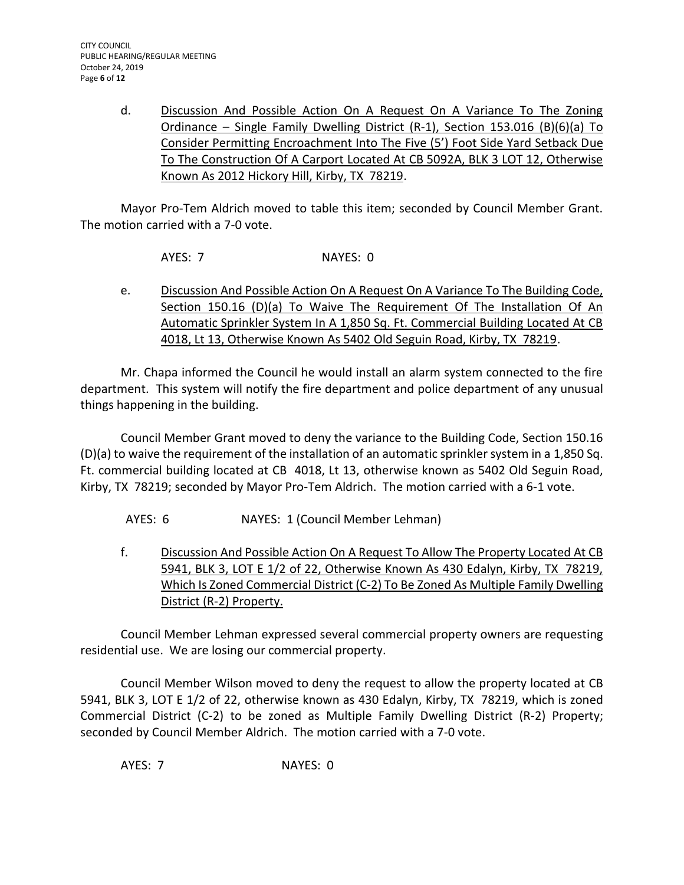d. Discussion And Possible Action On A Request On A Variance To The Zoning Ordinance – Single Family Dwelling District (R-1), Section 153.016 (B)(6)(a) To Consider Permitting Encroachment Into The Five (5') Foot Side Yard Setback Due To The Construction Of A Carport Located At CB 5092A, BLK 3 LOT 12, Otherwise Known As 2012 Hickory Hill, Kirby, TX 78219.

Mayor Pro-Tem Aldrich moved to table this item; seconded by Council Member Grant. The motion carried with a 7-0 vote.

AYES: 7 NAYES: 0

e. Discussion And Possible Action On A Request On A Variance To The Building Code, Section 150.16 (D)(a) To Waive The Requirement Of The Installation Of An Automatic Sprinkler System In A 1,850 Sq. Ft. Commercial Building Located At CB 4018, Lt 13, Otherwise Known As 5402 Old Seguin Road, Kirby, TX 78219.

Mr. Chapa informed the Council he would install an alarm system connected to the fire department. This system will notify the fire department and police department of any unusual things happening in the building.

Council Member Grant moved to deny the variance to the Building Code, Section 150.16 (D)(a) to waive the requirement of the installation of an automatic sprinkler system in a 1,850 Sq. Ft. commercial building located at CB 4018, Lt 13, otherwise known as 5402 Old Seguin Road, Kirby, TX 78219; seconded by Mayor Pro-Tem Aldrich. The motion carried with a 6-1 vote.

AYES: 6 NAYES: 1 (Council Member Lehman)

f. Discussion And Possible Action On A Request To Allow The Property Located At CB 5941, BLK 3, LOT E 1/2 of 22, Otherwise Known As 430 Edalyn, Kirby, TX 78219, Which Is Zoned Commercial District (C-2) To Be Zoned As Multiple Family Dwelling District (R-2) Property.

Council Member Lehman expressed several commercial property owners are requesting residential use. We are losing our commercial property.

Council Member Wilson moved to deny the request to allow the property located at CB 5941, BLK 3, LOT E 1/2 of 22, otherwise known as 430 Edalyn, Kirby, TX 78219, which is zoned Commercial District (C-2) to be zoned as Multiple Family Dwelling District (R-2) Property; seconded by Council Member Aldrich. The motion carried with a 7-0 vote.

AYES: 7 NAYES: 0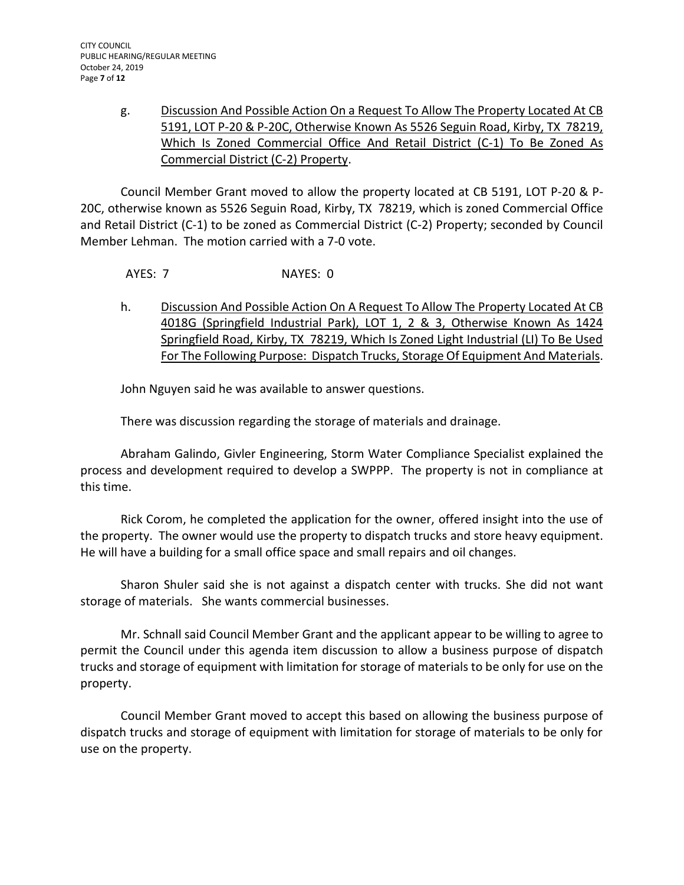# g. Discussion And Possible Action On a Request To Allow The Property Located At CB 5191, LOT P-20 & P-20C, Otherwise Known As 5526 Seguin Road, Kirby, TX 78219, Which Is Zoned Commercial Office And Retail District (C-1) To Be Zoned As Commercial District (C-2) Property.

Council Member Grant moved to allow the property located at CB 5191, LOT P-20 & P-20C, otherwise known as 5526 Seguin Road, Kirby, TX 78219, which is zoned Commercial Office and Retail District (C-1) to be zoned as Commercial District (C-2) Property; seconded by Council Member Lehman. The motion carried with a 7-0 vote.

AYES: 7 NAYES: 0

h. Discussion And Possible Action On A Request To Allow The Property Located At CB 4018G (Springfield Industrial Park), LOT 1, 2 & 3, Otherwise Known As 1424 Springfield Road, Kirby, TX 78219, Which Is Zoned Light Industrial (LI) To Be Used For The Following Purpose: Dispatch Trucks, Storage Of Equipment And Materials.

John Nguyen said he was available to answer questions.

There was discussion regarding the storage of materials and drainage.

Abraham Galindo, Givler Engineering, Storm Water Compliance Specialist explained the process and development required to develop a SWPPP. The property is not in compliance at this time.

Rick Corom, he completed the application for the owner, offered insight into the use of the property. The owner would use the property to dispatch trucks and store heavy equipment. He will have a building for a small office space and small repairs and oil changes.

Sharon Shuler said she is not against a dispatch center with trucks. She did not want storage of materials. She wants commercial businesses.

Mr. Schnall said Council Member Grant and the applicant appear to be willing to agree to permit the Council under this agenda item discussion to allow a business purpose of dispatch trucks and storage of equipment with limitation for storage of materials to be only for use on the property.

Council Member Grant moved to accept this based on allowing the business purpose of dispatch trucks and storage of equipment with limitation for storage of materials to be only for use on the property.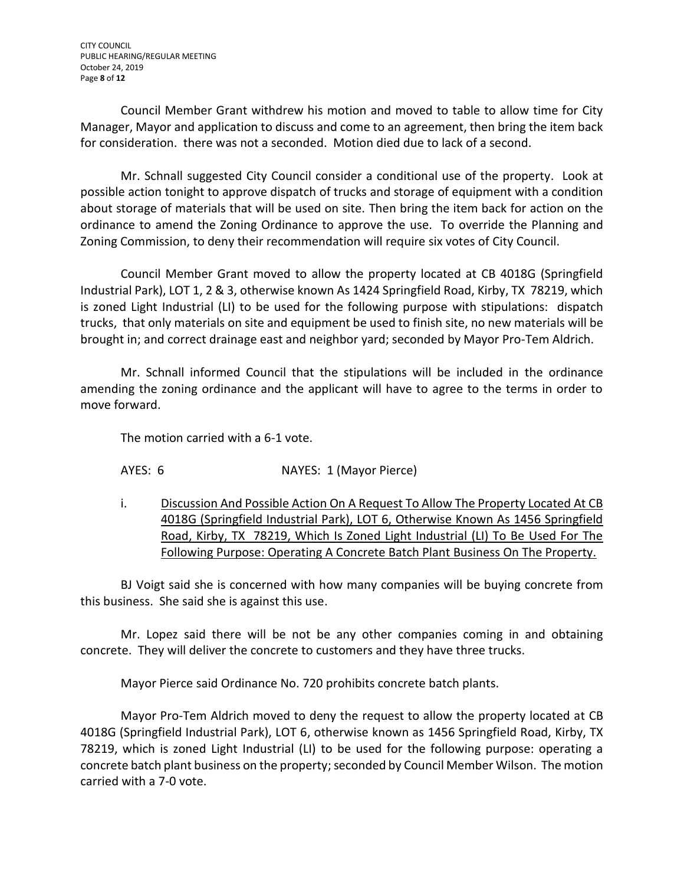Council Member Grant withdrew his motion and moved to table to allow time for City Manager, Mayor and application to discuss and come to an agreement, then bring the item back for consideration. there was not a seconded. Motion died due to lack of a second.

Mr. Schnall suggested City Council consider a conditional use of the property. Look at possible action tonight to approve dispatch of trucks and storage of equipment with a condition about storage of materials that will be used on site. Then bring the item back for action on the ordinance to amend the Zoning Ordinance to approve the use. To override the Planning and Zoning Commission, to deny their recommendation will require six votes of City Council.

Council Member Grant moved to allow the property located at CB 4018G (Springfield Industrial Park), LOT 1, 2 & 3, otherwise known As 1424 Springfield Road, Kirby, TX 78219, which is zoned Light Industrial (LI) to be used for the following purpose with stipulations: dispatch trucks, that only materials on site and equipment be used to finish site, no new materials will be brought in; and correct drainage east and neighbor yard; seconded by Mayor Pro-Tem Aldrich.

Mr. Schnall informed Council that the stipulations will be included in the ordinance amending the zoning ordinance and the applicant will have to agree to the terms in order to move forward.

The motion carried with a 6-1 vote.

AYES: 6 NAYES: 1 (Mayor Pierce)

i. Discussion And Possible Action On A Request To Allow The Property Located At CB 4018G (Springfield Industrial Park), LOT 6, Otherwise Known As 1456 Springfield Road, Kirby, TX 78219, Which Is Zoned Light Industrial (LI) To Be Used For The Following Purpose: Operating A Concrete Batch Plant Business On The Property.

BJ Voigt said she is concerned with how many companies will be buying concrete from this business. She said she is against this use.

Mr. Lopez said there will be not be any other companies coming in and obtaining concrete. They will deliver the concrete to customers and they have three trucks.

Mayor Pierce said Ordinance No. 720 prohibits concrete batch plants.

Mayor Pro-Tem Aldrich moved to deny the request to allow the property located at CB 4018G (Springfield Industrial Park), LOT 6, otherwise known as 1456 Springfield Road, Kirby, TX 78219, which is zoned Light Industrial (LI) to be used for the following purpose: operating a concrete batch plant business on the property; seconded by Council Member Wilson. The motion carried with a 7-0 vote.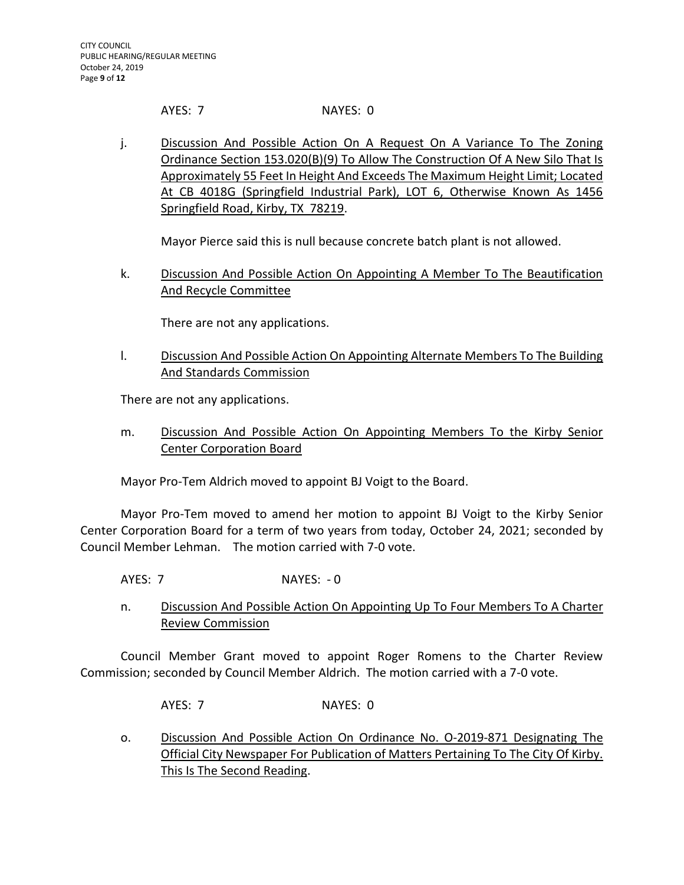AYES: 7 NAYES: 0

j. Discussion And Possible Action On A Request On A Variance To The Zoning Ordinance Section 153.020(B)(9) To Allow The Construction Of A New Silo That Is Approximately 55 Feet In Height And Exceeds The Maximum Height Limit; Located At CB 4018G (Springfield Industrial Park), LOT 6, Otherwise Known As 1456 Springfield Road, Kirby, TX 78219.

Mayor Pierce said this is null because concrete batch plant is not allowed.

k. Discussion And Possible Action On Appointing A Member To The Beautification And Recycle Committee

There are not any applications.

l. Discussion And Possible Action On Appointing Alternate Members To The Building And Standards Commission

There are not any applications.

m. Discussion And Possible Action On Appointing Members To the Kirby Senior Center Corporation Board

Mayor Pro-Tem Aldrich moved to appoint BJ Voigt to the Board.

Mayor Pro-Tem moved to amend her motion to appoint BJ Voigt to the Kirby Senior Center Corporation Board for a term of two years from today, October 24, 2021; seconded by Council Member Lehman. The motion carried with 7-0 vote.

AYES: 7 NAYES: - 0

n. Discussion And Possible Action On Appointing Up To Four Members To A Charter Review Commission

Council Member Grant moved to appoint Roger Romens to the Charter Review Commission; seconded by Council Member Aldrich. The motion carried with a 7-0 vote.

AYES: 7 NAYES: 0

o. Discussion And Possible Action On Ordinance No. O-2019-871 Designating The Official City Newspaper For Publication of Matters Pertaining To The City Of Kirby. This Is The Second Reading.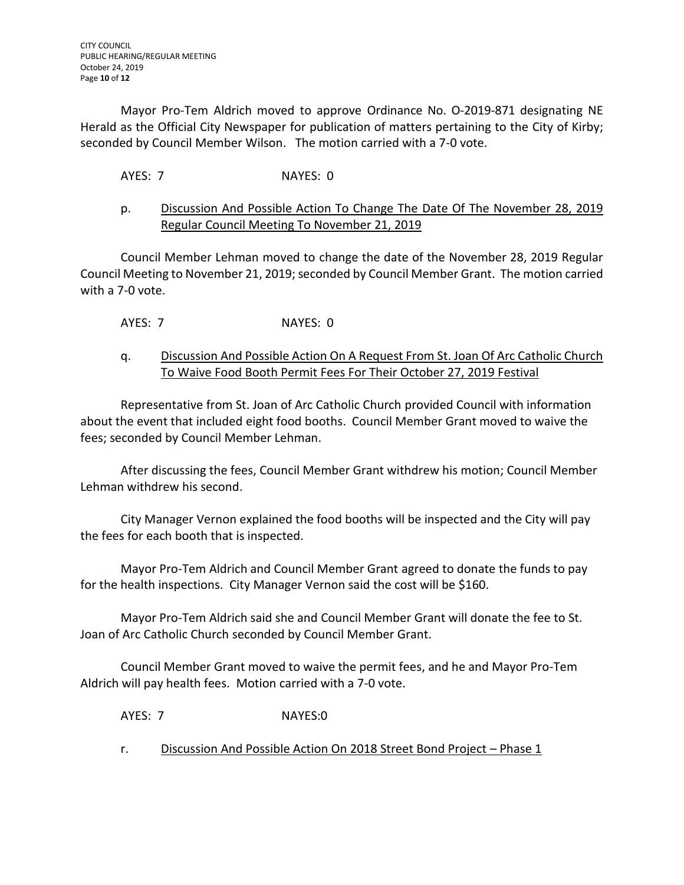Mayor Pro-Tem Aldrich moved to approve Ordinance No. O-2019-871 designating NE Herald as the Official City Newspaper for publication of matters pertaining to the City of Kirby; seconded by Council Member Wilson. The motion carried with a 7-0 vote.

# AYES: 7 NAYES: 0

## p. Discussion And Possible Action To Change The Date Of The November 28, 2019 Regular Council Meeting To November 21, 2019

Council Member Lehman moved to change the date of the November 28, 2019 Regular Council Meeting to November 21, 2019; seconded by Council Member Grant. The motion carried with a 7-0 vote.

AYES: 7 NAYES: 0

### q. Discussion And Possible Action On A Request From St. Joan Of Arc Catholic Church To Waive Food Booth Permit Fees For Their October 27, 2019 Festival

Representative from St. Joan of Arc Catholic Church provided Council with information about the event that included eight food booths. Council Member Grant moved to waive the fees; seconded by Council Member Lehman.

After discussing the fees, Council Member Grant withdrew his motion; Council Member Lehman withdrew his second.

City Manager Vernon explained the food booths will be inspected and the City will pay the fees for each booth that is inspected.

Mayor Pro-Tem Aldrich and Council Member Grant agreed to donate the funds to pay for the health inspections. City Manager Vernon said the cost will be \$160.

Mayor Pro-Tem Aldrich said she and Council Member Grant will donate the fee to St. Joan of Arc Catholic Church seconded by Council Member Grant.

Council Member Grant moved to waive the permit fees, and he and Mayor Pro-Tem Aldrich will pay health fees. Motion carried with a 7-0 vote.

AYES: 7 NAYES:0

r. Discussion And Possible Action On 2018 Street Bond Project – Phase 1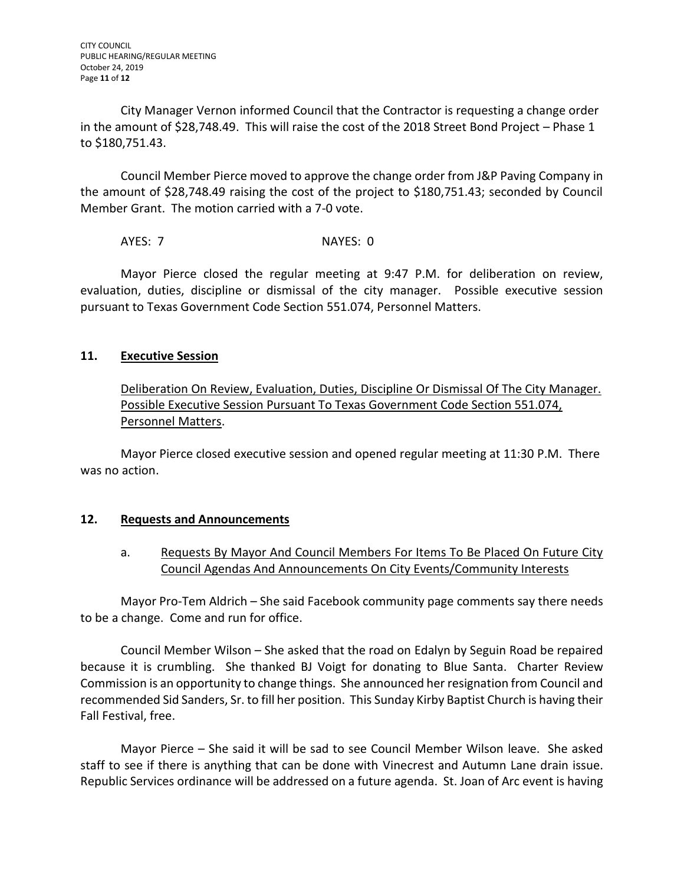City Manager Vernon informed Council that the Contractor is requesting a change order in the amount of \$28,748.49. This will raise the cost of the 2018 Street Bond Project – Phase 1 to \$180,751.43.

Council Member Pierce moved to approve the change order from J&P Paving Company in the amount of \$28,748.49 raising the cost of the project to \$180,751.43; seconded by Council Member Grant. The motion carried with a 7-0 vote.

AYES: 7 NAYES: 0

Mayor Pierce closed the regular meeting at 9:47 P.M. for deliberation on review, evaluation, duties, discipline or dismissal of the city manager. Possible executive session pursuant to Texas Government Code Section 551.074, Personnel Matters.

## **11. Executive Session**

Deliberation On Review, Evaluation, Duties, Discipline Or Dismissal Of The City Manager. Possible Executive Session Pursuant To Texas Government Code Section 551.074, Personnel Matters.

Mayor Pierce closed executive session and opened regular meeting at 11:30 P.M. There was no action.

## **12. Requests and Announcements**

a. Requests By Mayor And Council Members For Items To Be Placed On Future City Council Agendas And Announcements On City Events/Community Interests

Mayor Pro-Tem Aldrich – She said Facebook community page comments say there needs to be a change. Come and run for office.

Council Member Wilson – She asked that the road on Edalyn by Seguin Road be repaired because it is crumbling. She thanked BJ Voigt for donating to Blue Santa. Charter Review Commission is an opportunity to change things. She announced her resignation from Council and recommended Sid Sanders, Sr. to fill her position. This Sunday Kirby Baptist Church is having their Fall Festival, free.

Mayor Pierce – She said it will be sad to see Council Member Wilson leave. She asked staff to see if there is anything that can be done with Vinecrest and Autumn Lane drain issue. Republic Services ordinance will be addressed on a future agenda. St. Joan of Arc event is having